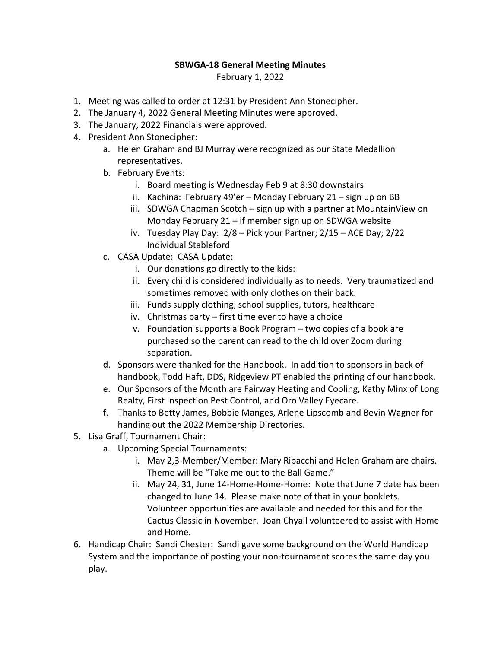## **SBWGA‐18 General Meeting Minutes**

February 1, 2022

- 1. Meeting was called to order at 12:31 by President Ann Stonecipher.
- 2. The January 4, 2022 General Meeting Minutes were approved.
- 3. The January, 2022 Financials were approved.
- 4. President Ann Stonecipher:
	- a. Helen Graham and BJ Murray were recognized as our State Medallion representatives.
	- b. February Events:
		- i. Board meeting is Wednesday Feb 9 at 8:30 downstairs
		- ii. Kachina: February 49'er Monday February 21 sign up on BB
		- iii. SDWGA Chapman Scotch sign up with a partner at MountainView on Monday February 21 – if member sign up on SDWGA website
		- iv. Tuesday Play Day: 2/8 Pick your Partner; 2/15 ACE Day; 2/22 Individual Stableford
	- c. CASA Update: CASA Update:
		- i. Our donations go directly to the kids:
		- ii. Every child is considered individually as to needs. Very traumatized and sometimes removed with only clothes on their back.
		- iii. Funds supply clothing, school supplies, tutors, healthcare
		- iv. Christmas party first time ever to have a choice
		- v. Foundation supports a Book Program two copies of a book are purchased so the parent can read to the child over Zoom during separation.
	- d. Sponsors were thanked for the Handbook. In addition to sponsors in back of handbook, Todd Haft, DDS, Ridgeview PT enabled the printing of our handbook.
	- e. Our Sponsors of the Month are Fairway Heating and Cooling, Kathy Minx of Long Realty, First Inspection Pest Control, and Oro Valley Eyecare.
	- f. Thanks to Betty James, Bobbie Manges, Arlene Lipscomb and Bevin Wagner for handing out the 2022 Membership Directories.
- 5. Lisa Graff, Tournament Chair:
	- a. Upcoming Special Tournaments:
		- i. May 2,3‐Member/Member: Mary Ribacchi and Helen Graham are chairs. Theme will be "Take me out to the Ball Game."
		- ii. May 24, 31, June 14‐Home‐Home‐Home: Note that June 7 date has been changed to June 14. Please make note of that in your booklets. Volunteer opportunities are available and needed for this and for the Cactus Classic in November. Joan Chyall volunteered to assist with Home and Home.
- 6. Handicap Chair: Sandi Chester: Sandi gave some background on the World Handicap System and the importance of posting your non‐tournament scores the same day you play.